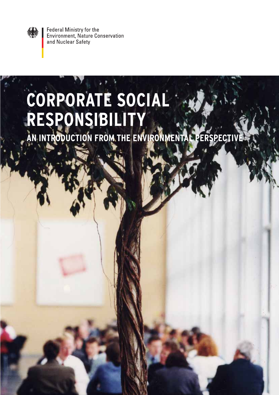Federal Ministry for the Environment, Nature Conservation and Nuclear Safety

# **CORPORATE SOCIAL RESPONSIBILITY**

**AN INTRODUCTION FROM THE ENVIRONMENTAL PERSPECTIV**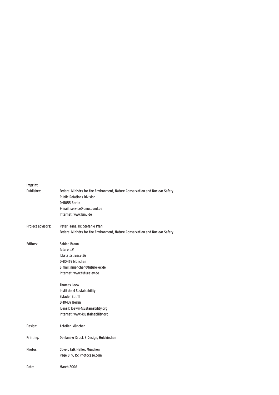# **Imprint** Publisher: Federal Ministry for the Environment, Nature Conservation and Nuclear Safety Public Relations Division D-11055 Berlin E-mail: service@bmu.bund.de Internet: www.bmu.de Project advisors: Peter Franz, Dr. Stefanie Pfahl Federal Ministry for the Environment, Nature Conservation and Nuclear Safety Editors: Sabine Braun future e.V. Ickstattstrasse 26 D-80469 München E-mail: muenchen@future-ev.de Internet: www.future-ev.de Thomas Loew Institute 4 Sustainability Ystader Str. 11 D-10437 Berlin E-mail: loew@4sustainability.org Internet: www.4sustainability.org Design: Artelier, München Printing: Denkmayr Druck & Design, Holzkirchen Photos: Cover: Falk Heller, München Page 8, 9, 15: Photocase.com Date: March 2006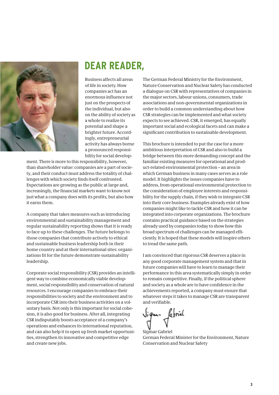

# **DEAR READER,**

Business affects all areas of life in society. How companies act has an enormous influence not just on the prospects of the individual, but also on the ability of society as a whole to realize its potential and shape a brighter future. Accordingly, entrepreneurial activity has always borne a pronounced responsibility for social develop-

ment. There is more to this responsibility, however, than shareholder value: companies are a part of society, and their conduct must address the totality of challenges with which society finds itself confronted. Expectations are growing as the public at large and, increasingly, the financial markets want to know not just what a company does with its profits, but also how it earns them.

A company that takes measures such as introducing environmental and sustainability management and regular sustainability reporting shows that it is ready to face up to these challenges. The future belongs to those companies that contribute actively to ethical and sustainable business leadership both in their home country and at their international sites: organizations fit for the future demonstrate sustainability leadership.

Corporate social responsibility (CSR) provides an intelligent way to combine economically viable development, social responsibility and conservation of natural resources. I encourage companies to embrace their responsibilities to society and the environment and to incorporate CSR into their business activities on a voluntary basis. Not only is this important for social cohesion, it is also good for business. After all, integrating CSR indisputably boosts acceptance of a company's operations and enhances its international reputation, and can also help it to open up fresh market opportunities, strengthen its innovative and competitive edge and create new jobs.

The German Federal Ministry for the Environment, Nature Conservation and Nuclear Safety has conducted a dialogue on CSR with representatives of companies in the major sectors, labour unions, consumers, trade associations and non-governmental organizations in order to build a common understanding about how CSR strategies can be implemented and what society expects to see achieved. CSR, it emerged, has equally important social and ecological facets and can make a significant contribution to sustainable development.

This brochure is intended to put the case for a more ambitious interpretation of CSR and also to build a bridge between this more demanding concept and the familiar existing measures for operational and product-related environmental protection – an area in which German business in many cases serves as a role model. It highlights the issues companies have to address, from operational environmental protection to the consideration of employee interests and responsibility for the supply chain, if they wish to integrate CSR into their core business. Examples already exist of how companies might like to tackle CSR and how it can be integrated into corporate organizations. The brochure contains practical guidance based on the strategies already used by companies today to show how this broad spectrum of challenges can be managed efficiently. It is hoped that these models will inspire others to tread the same path.

I am convinced that rigorous CSR deserves a place in any good corporate management system and that in future companies will have to learn to manage their performance in this area systematically simply in order to remain competitive. Finally, if the political sphere and society as a whole are to have confidence in the achievements reported, a company must ensure that whatever steps it takes to manage CSR are transparent and verifiable.

la priel

Sigmar Gabriel German Federal Minister for the Environment, Nature Conservation and Nuclear Safety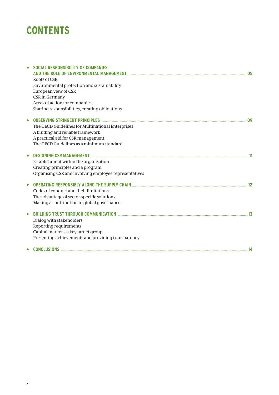# **CONTENTS**

|   | SOCIAL RESPONSIBILITY OF COMPANIES                    |    |
|---|-------------------------------------------------------|----|
|   |                                                       |    |
|   | Roots of CSR                                          |    |
|   | Environmental protection and sustainability           |    |
|   | European view of CSR                                  |    |
|   | CSR in Germany                                        |    |
|   | Areas of action for companies                         |    |
|   | Sharing responsibilities, creating obligations        |    |
| ▶ |                                                       | 09 |
|   | The OECD Guidelines for Multinational Enterprises     |    |
|   | A binding and reliable framework                      |    |
|   | A practical aid for CSR management                    |    |
|   | The OECD Guidelines as a minimum standard             |    |
| ▶ |                                                       |    |
|   | Establishment within the organisation                 |    |
|   | Creating principles and a program                     |    |
|   | Organising CSR and involving employee representatives |    |
|   |                                                       |    |
|   | Codes of conduct and their limitations                |    |
|   | The advantage of sector-specific solutions            |    |
|   | Making a contribution to global governance            |    |
| ь |                                                       |    |
|   | Dialog with stakeholders                              |    |
|   | Reporting requirements                                |    |
|   | Capital market - a key target group                   |    |
|   | Presenting achievements and providing transparency    |    |
|   |                                                       |    |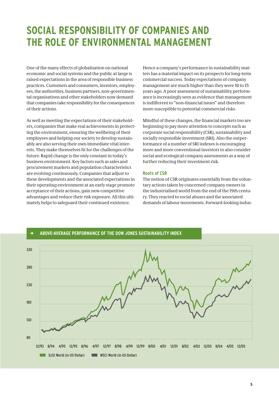# **SOCIAL RESPONSIBILITY OF COMPANIES AND THE ROLE OF ENVIRONMENTAL MANAGEMENT**

One of the many effects of globalisation on national economic and social systems and the public at large is raised expectations in the area of responsible business practices. Customers and consumers, investors, employees, the authorities, business partners, non-governmental organisations and other stakeholders now demand that companies take responsibility for the consequences of their actions.

As well as meeting the expectations of their stakeholders, companies that make real achievements in protecting the environment, ensuring the wellbeing of their employees and helping our society to develop sustainably are also serving their own immediate vital interests. They make themselves fit for the challenges of the future. Rapid change is the only constant in today's business environment. Key factors such as sales and procurement markets and population characteristics are evolving continuously. Companies that adjust to these developments and the associated expectations in their operating environment at an early stage promote acceptance of their actions, gain new competitive advantages and reduce their risk exposure. All this ultimately helps to safeguard their continued existence.

Hence a company's performance in sustainability matters has a material impact on its prospects for long-term commercial success. Today expectations of company management are much higher than they were 10 to 15 years ago. A poor assessment of sustainability performance is increasingly seen as evidence that management is indifferent to "non-financial issues" and therefore more susceptible to potential commercial risks.

Mindful of these changes, the financial markets too are beginning to pay more attention to concepts such as corporate social responsibility (CSR), sustainability and socially responsible investment (SRI). Also the outperformance of a number of SRI indexes is encouraging more and more conventional investors to also consider social and ecological company assessments as a way of further reducing their investment risk.

# **Roots of CSR**

The notion of CSR originates essentially from the voluntary actions taken by concerned company owners in the industrialised world from the end of the 19th century. They reacted to social abuses and the associated demands of labour movements. Forward-looking indus-

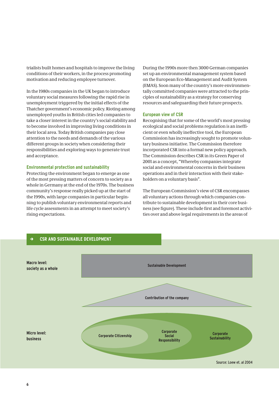trialists built homes and hospitals to improve the living conditions of their workers, in the process promoting motivation and reducing employee turnover.

In the 1980s companies in the UK began to introduce voluntary social measures following the rapid rise in unemployment triggered by the initial effects of the Thatcher government's economic policy. Rioting among unemployed youths in British cities led companies to take a closer interest in the country's social stability and to become involved in improving living conditions in their local area. Today British companies pay close attention to the needs and demands of the various different groups in society when considering their responsibilities and exploring ways to generate trust and acceptance.

### **Environmental protection and sustainability**

Protecting the environment began to emerge as one of the most pressing matters of concern to society as a whole in Germany at the end of the 1970s. The business community's response really picked up at the start of the 1990s, with large companies in particular beginning to publish voluntary environmental reports and life cycle assessments in an attempt to meet society's rising expectations.

During the 1990s more then 3000 German companies set up an environmental management system based on the European Eco-Management and Audit System (EMAS). Soon many of the country's more environmentally committed companies were attracted to the principles of sustainability as a strategy for conserving resources and safeguarding their future prospects.

#### **European view of CSR**

Recognising that for some of the world's most pressing ecological and social problems regulation is an inefficient or even wholly ineffective tool, the European Commission has increasingly sought to promote voluntary business initiative. The Commission therefore incorporated CSR into a formal new policy approach. The Commission describes CSR in its Green Paper of 2001 as a concept, "Whereby companies integrate social and environmental concerns in their business operations and in their interaction with their stakeholders on a voluntary basis".

The European Commission's view of CSR encompasses all voluntary actions through which companies contribute to sustainable development in their core business (see figure). These include first and foremost activities over and above legal requirements in the areas of

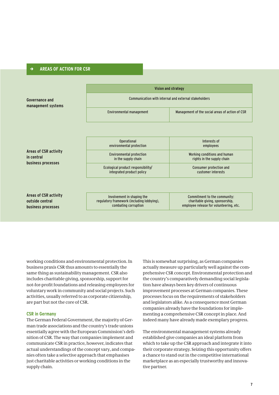# → **AREAS OF ACTION FOR CSR**



working conditions and environmental protection. In business praxis CSR thus amounts to essentially the same thing as sustainability management. CSR also includes charitable giving, sponsorship, support for not-for-profit foundations and releasing employees for voluntary work in community and social projects. Such activities, usually referred to as corporate citizenship, are part but not the core of CSR.

### **CSR in Germany**

The German Federal Government, the majority of German trade associations and the country's trade unions essentially agree with the European Commission's definition of CSR. The way that companies implement and communicate CSR in practice, however, indicates that actual understandings of the concept vary, and companies often take a selective approach that emphasises just charitable activities or working conditions in the supply chain.

This is somewhat surprising, as German companies actually measure up particularly well against the comprehensive CSR concept. Environmental protection and the country's comparatively demanding social legislation have always been key drivers of continuous improvement processes at German companies. These processes focus on the requirements of stakeholders and legislators alike. As a consequence most German companies already have the foundations for implementing a comprehensive CSR concept in place. And indeed many have already made exemplary progress.

The environmental management systems already established give companies an ideal platform from which to take up the CSR approach and integrate it into their corporate strategy. Seizing this opportunity offers a chance to stand out in the competitive international marketplace as an especially trustworthy and innovative partner.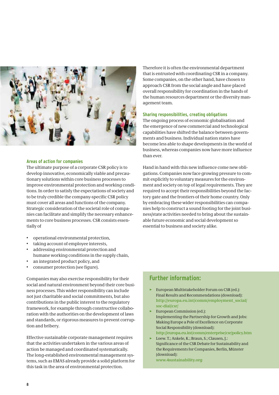

### **Areas of action for companies**

The ultimate purpose of a corporate CSR policy is to develop innovative, economically viable and precautionary solutions within core business processes to improve environmental protection and working conditions. In order to satisfy the expectations of society and to be truly credible the company-specific CSR policy must cover all areas and functions of the company. Strategic consideration of the societal role of companies can facilitate and simplify the necessary enhancements to core business processes. CSR consists essentially of

- operational environmental protection,
- taking account of employee interests,
- addressing environmental protection and humane working conditions in the supply chain,
- an integrated product policy, and
- consumer protection (see figure).

Companies may also exercise responsibility for their social and natural environment beyond their core business processes. This wider responsibility can include not just charitable and social commitments, but also contributions in the public interest to the regulatory framework, for example through constructive collaboration with the authorities on the development of laws and standards, or rigorous measures to prevent corruption and bribery.

Effective sustainable corporate management requires that the activities undertaken in the various areas of action be managed and coordinated systematically. The long-established environmental management systems, such as EMAS already provide a solid platform for this task in the area of environmental protection.

Therefore it is often the environmental department that is entrusted with coordinating CSR in a company. Some companies, on the other hand, have chosen to approach CSR from the social angle and have placed overall responsibility for coordination in the hands of the human resources department or the diversity management team.

### **Sharing responsibilities, creating obligations**

The ongoing process of economic globalisation and the emergence of new commercial and technological capabilities have shifted the balance between governments and business. Individual nation states have become less able to shape developments in the world of business, whereas companies now have more influence than ever.

Hand in hand with this new influence come new obligations. Companies now face growing pressure to commit explicitly to voluntary measures for the environment and society on top of legal requirements. They are required to accept their responsibilities beyond the factory gate and the frontiers of their home country. Only by embracing these wider responsibilities can companies help to construct a sound footing for the joint business/state activities needed to bring about the sustainable future economic and social development so essential to business and society alike.

- $\blacktriangleright$  European Multistakeholder Forum on CSR (ed.): Final Results and Recommendations (download): **http://europa.eu.int/comm/employment\_social/ soc-dial/csr/**
- $\blacktriangleright$  European Commission (ed.): Implementing the Partnership for Growth and Jobs: Making Europe a Pole of Excellence on Corporate Social Responsibility (download): **http://europa.eu.int/comm/enterprise/csr/policy.htm**
- Loew. T.; Ankele, K.; Braun, S.; Clausen, J.: Significance of the CSR Debate for Sustainability and the Requirements for Companies, Berlin, Münster (download): **www.4sustainability.org**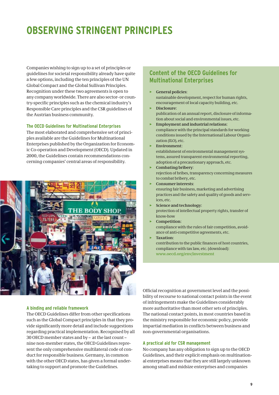# **OBSERVING STRINGENT PRINCIPLES**

Companies wishing to sign up to a set of principles or guidelines for societal responsibility already have quite a few options, including the ten principles of the UN Global Compact and the Global Sullivan Principles. Recognition under these two agreements is open to any company worldwide. There are also sector- or country-specific principles such as the chemical industry's Responsible Care principles and the CSR guidelines of the Austrian business community.

### **The OECD Guidelines for Multinational Enterprises**

The most elaborated and comprehensive set of principles available are the Guidelines for Multinational Enterprises published by the Organization for Economic Co-operation and Development (OECD). Updated in 2000, the Guidelines contain recommendations concerning companies' central areas of responsibility.



### **A binding and reliable framework**

The OECD Guidelines differ from other specifications such as the Global Compact principles in that they provide significantly more detail and include suggestions regarding practical implementation. Recognised by all 30 OECD member states and by – at the last count – nine non-member states, the OECD Guidelines represent the only comprehensive multilateral code of conduct for responsible business. Germany, in common with the other OECD states, has given a formal undertaking to support and promote the Guidelines.

# **Content of the OECD Guidelines for Multinational Enterprises**

- 3 **General policies**: sustainable development, respect for human rights, encouragement of local capacity building, etc.
- 3 **Disclosure**: publication of an annual report, disclosure of information about social and environmental issues, etc.
- 3 **Employment and industrial relations**: compliance with the principal standards for working conditions issued by the International Labour Organization (ILO), etc.
- 3 **Environment**: establishment of environmental management systems, assured transparent environmental reporting, adoption of a precautionary approach, etc.
- 3 **Combating bribery**: rejection of bribes, transparency concerning measures to combat bribery, etc.
- 3 **Consumer interests**: ensuring fair business, marketing and advertising practices and the safety and quality of goods and services, etc.
- 3 **Science and technology**: protection of intellectual property rights, transfer of know-how
- 3 **Competition**: compliance with the rules of fair competition, avoidance of anti-competitive agreements, etc.
- 3 **Taxation**: contribution to the public finances of host countries, compliance with tax law, etc. (download): **www.oecd.org/env/investment**

Official recognition at government level and the possibility of recourse to national contact points in the event of infringements make the Guidelines considerably more authoritative than most other sets of principles. The national contact points, in most countries based in the ministry responsible for economic policy, provide impartial mediation in conflicts between business and non-governmental organisations.

### **A practical aid for CSR management**

No company has any obligation to sign up to the OECD Guidelines, and their explicit emphasis on multinational enterprises means that they are still largely unknown among small and midsize enterprises and companies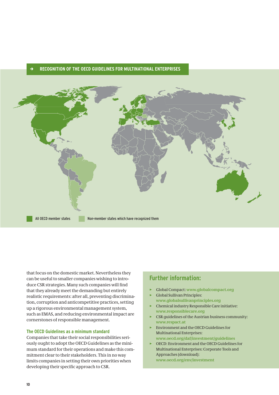# , **RECOGNITION OF THE OECD GUIDELINES FOR MULTINATIONAL ENTERPRISES**



that focus on the domestic market. Nevertheless they can be useful to smaller companies wishing to introduce CSR strategies. Many such companies will find that they already meet the demanding but entirely realistic requirements: after all, preventing discrimination, corruption and anticompetitive practices, setting up a rigorous environmental management system, such as EMAS, and reducing environmental impact are cornerstones of responsible management.

# **The OECD Guidelines as a minimum standard**

Companies that take their social responsibilities seriously ought to adopt the OECD Guidelines as the minimum standard for their operations and make this commitment clear to their stakeholders. This in no way limits companies in setting their own priorities when developing their specific approach to CSR.

- 3 Global Compact: **www.globalcompact.org**  3 Global Sullivan Principles:
- **www.globalsullivanprinciples.org**
- 3 Chemical industry Responsible Care initiative: **www.responsiblecare.org**
- CSR guidelines of the Austrian business community: **www.respact.at**
- $\blacktriangleright$  Environment and the OECD Guidelines for Multinational Enterprises: **www.oecd.org/daf/investment/guidelines**
- $\triangleright$  OECD: Environment and the OECD Guidelines for Multinational Enterprises: Corporate Tools and Approaches (download): **www.oecd.org/env/investment**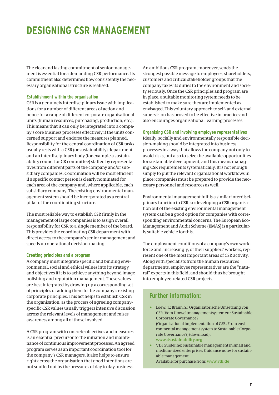# **DESIGNING CSR MANAGEMENT**

The clear and lasting commitment of senior management is essential for a demanding CSR performance. Its commitment also determines how consistently the necessary organisational structure is realised.

### **Establishment within the organisation**

CSR is a genuinely interdisciplinary issue with implications for a number of different areas of action and hence for a range of different corporate organisational units (human resources, purchasing, production, etc.). This means that it can only be integrated into a company's core business processes effectively if the units concerned support and endorse the measures planned. Responsibility for the central coordination of CSR tasks usually rests with a CSR (or sustainability) department and an interdisciplinary body (for example a sustainability council or CR committee) staffed by representatives from different parts of the company and/or subsidiary companies. Coordination will be most efficient if a specific contact person is clearly nominated for each area of the company and, where applicable, each subsidiary company. The existing environmental management system should be incorporated as a central pillar of the coordinating structure.

The most reliable way to establish CSR firmly in the management of large companies is to assign overall responsibility for CSR to a single member of the board. This provides the coordinating CSR department with direct access to the company's senior management and speeds up operational decision-making.

### **Creating principles and a program**

A company must integrate specific and binding environmental, social and ethical values into its strategy and objectives if it is to achieve anything beyond image polishing and reputation management. These values are best integrated by drawing up a corresponding set of principles or adding them to the company's existing corporate principles. This act helps to establish CSR in the organisation, as the process of agreeing companyspecific CSR values usually triggers intensive discussion across the relevant levels of management and raises awareness among all of those involved.

A CSR program with concrete objectives and measures is an essential precursor to the initiation and maintenance of continuous improvement processes. An agreed program serves as an important coordination tool for the company's CSR managers. It also helps to ensure right across the organisation that good intentions are not snuffed out by the pressures of day to day business.

An ambitious CSR program, moreover, sends the strongest possible message to employees, shareholders, customers and critical stakeholder groups that the company takes its duties to the environment and society seriously. Once the CSR principles and program are in place, a suitable monitoring system needs to be established to make sure they are implemented as envisaged. This voluntary approach to self- and external supervision has proved to be effective in practice and also encourages organisational learning processes.

# **Organising CSR and involving employee representatives**

Ideally, socially and environmentally responsible decision-making should be integrated into business processes in a way that allows the company not only to avoid risks, but also to seize the available opportunities for sustainable development, and this means managing CSR requirements systematically. It is not enough simply to put the relevant organisational workflows in place: companies must be prepared to provide the necessary personnel and resources as well.

Environmental management fulfils a similar interdisciplinary function to CSR, so developing a CSR organisation out of the existing environmental management system can be a good option for companies with corresponding environmental concerns. The European Eco-Management and Audit Scheme (EMAS) is a particularly suitable vehicle for this.

The employment conditions of a company's own workforce and, increasingly, of their suppliers' workers, represent one of the most important areas of CSR activity. Along with specialists from the human resources departments, employee representatives are the "natural" experts in this field, and should thus be brought into employee-related CSR projects.

- ▶ Loew, T.; Braun, S.: Organisatorische Umsetzung von CSR. Vom Umweltmanagementsystem zur Sustainable Corporate Governance? (Organisational implementation of CSR: From environmental management system to Sustainable Corporate Governance?) (download): **www.4sustainability.org**
- $\triangleright$  VDI Guideline: Sustainable management in small and medium-sized enterprises; Guidance notes for sustainable management Available for purchase from: **www.vdi.de**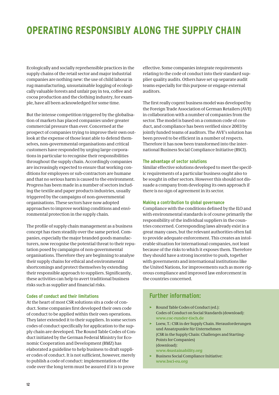# **OPERATING RESPONSIBLY ALONG THE SUPPLY CHAIN**

Ecologically and socially reprehensible practices in the supply chains of the retail sector and major industrial companies are nothing new: the use of child labour in rug manufacturing, unsustainable logging of ecologically valuable forests and unfair pay in tea, coffee and cocoa production and the clothing industry, for example, have all been acknowledged for some time.

But the intense competition triggered by the globalisation of markets has placed companies under greater commercial pressure than ever. Concerned at the prospect of companies trying to improve their own outlook at the expense of those least able to defend themselves, non-governmental organisations and critical customers have responded by urging large corporations in particular to recognise their responsibilities throughout the supply chain. Accordingly companies are increasingly expected to ensure that working conditions for employees or sub-contractors are humane and that no serious harm is caused to the environment. Progress has been made in a number of sectors including the textile and paper products industries, usually triggered by the campaigns of non-governmental organisations. These sectors have now adopted approaches to improve working conditions and environmental protection in the supply chain.

The profile of supply chain management as a business concept has risen steadily over the same period. Companies, especially the major branded goods manufacturers, now recognise the potential threat to their reputation posed by campaigns of non-governmental organisations. Therefore they are beginning to analyse their supply chains for ethical and environmental shortcomings and protect themselves by extending their responsible approach to suppliers. Significantly, these activities can help to avert traditional business risks such as supplier and financial risks.

# **Codes of conduct and their limitations**

At the heart of most CSR solutions sits a code of conduct. Some companies first developed their own code of conduct to be applied within their own operations. They later extended it to their suppliers. In some sectors codes of conduct specifically for application to the supply chain are developed. The Round Table Codes of Conduct initiated by the German Federal Ministry for Economic Cooperation and Development (BMZ) has elaborated a guideline to help business to draft supplier codes of conduct. It is not sufficient, however, merely to publish a code of conduct: implementation of the code over the long term must be assured if it is to prove

effective. Some companies integrate requirements relating to the code of conduct into their standard supplier quality audits. Others have set up separate audit teams especially for this purpose or engage external auditors.

The first really cogent business model was developed by the Foreign Trade Association of German Retailers (AVE) in collaboration with a number of companies from the sector. The model is based on a common code of conduct, and compliance has been verified since 2003 by jointly funded teams of auditors. The AVE's solution has been proved to be efficient in a number of respects. Therefore it has now been transformed into the international Business Social Compliance Initiative (BSCI).

### **The advantage of sector solutions**

Similar effective solutions developed to meet the specific requirements of a particular business ought also to be sought in other sectors. However this should not dissuade a company from developing its own approach if there is no sign of agreement in its sector.

### **Making a contribution to global governance**

Compliance with the conditions defined by the ILO and with environmental standards is of course primarily the responsibility of the individual suppliers in the countries concerned. Corresponding laws already exist in a great many cases, but the relevant authorities often fail to provide adequate enforcement. This creates an intolerable situation for international companies, not least because of the risks to which it exposes them. Therefore they should have a strong incentive to push, together with governments and international institutions like the United Nations, for improvements such as more rigorous compliance and improved law enforcement in the countries concerned.

- Round Table Codes of Conduct (ed.): Codes of Conduct on Social Standards (download): **www.coc-runder-tisch.de**
- **DETE: Loew, T.: CSR in der Supply Chain. Herausforderungen** und Ansatzpunkte für Unternehmen (CSR in the Supply Chain: Challenges and Starting-Points for Companies) (download): **www.4sustainability.org**
- $\blacktriangleright$  Business Social Compliance Initiative: **www.bsci-eu.org**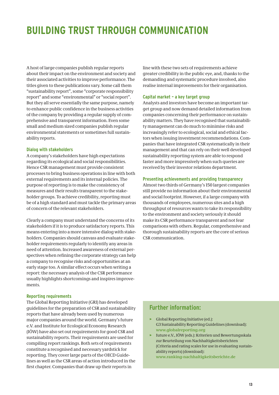# **BUILDING TRUST THROUGH COMMUNICATION**

A host of large companies publish regular reports about their impact on the environment and society and their associated activities to improve performance. The titles given to these publications vary. Some call them "sustainability report", some "corporate responsibility report" and some "environmental" or "social report". But they all serve essentially the same purpose, namely to enhance public confidence in the business activities of the company by providing a regular supply of comprehensive and transparent information. Even some small and medium sized companies publish regular environmental statements or sometimes full sustainability reports.

### **Dialog with stakeholders**

A company's stakeholders have high expectations regarding its ecological and social responsibilities. Hence CSR management must provide consistent processes to bring business operations in line with both external requirements and its internal policies. The purpose of reporting is to make the consistency of measures and their results transparent to the stakeholder groups. To achieve credibility, reporting must be of a high standard and must tackle the primary areas of concern of the relevant stakeholders.

Clearly a company must understand the concerns of its stakeholders if it is to produce satisfactory reports. This means entering into a more intensive dialog with stakeholders. Companies should canvass and evaluate stakeholder requirements regularly to identify any areas in need of attention. Increased awareness of external perspectives when refining the corporate strategy can help a company to recognise risks and opportunities at an early stage too. A similar effect occurs when writing a report: the necessary analysis of the CSR performance usually highlights shortcomings and inspires improvements.

# **Reporting requirements**

The Global Reporting Initiative (GRI) has developed guidelines for the preparation of CSR and sustainability reports that have already been used by numerous major companies around the world. Germany's future e.V. and Institute for Ecological Economy Research (IÖW) have also set out requirements for good CSR and sustainability reports. Their requirements are used for compiling report rankings. Both sets of requirements constitute a recognised and necessary yardstick for reporting. They cover large parts of the OECD Guidelines as well as the CSR areas of action introduced in the first chapter. Companies that draw up their reports in

line with these two sets of requirements achieve greater credibility in the public eye, and, thanks to the demanding and systematic procedure involved, also realise internal improvements for their organisation.

### **Capital market – a key target group**

Analysts and investors have become an important target group and now demand detailed information from companies concerning their performance on sustainability matters. They have recognised that sustainability management can do much to minimise risks and increasingly refer to ecological, social and ethical factors when issuing investment recommendations. Companies that have integrated CSR systematically in their management and that can rely on their well developed sustainability reporting system are able to respond faster and more impressively when such queries are received by their investor relations department.

### **Presenting achievements and providing transparency**

Almost two thirds of Germany's 150 largest companies still provide no information about their environmental and social footprint. However, if a large company with thousands of employees, numerous sites and a high throughput of resources wants to take its responsibility to the environment and society seriously it should make its CSR performance transparent and not fear comparisons with others. Regular, comprehensive and thorough sustainability reports are the core of serious CSR communication.

- $\blacktriangleright$  Global Reporting Initiative (ed.): G3 Sustainability Reporting Guidelines (download): **www.globalreporting.org**
- $\blacktriangleright$  future e.V., IÖW (eds.): Kriterien und Bewertungsskala zur Beurteilung von Nachhaltigkeitsberichten (Criteria and rating scales for use in evaluating sustainability reports) (download): **www.ranking-nachhaltigkeitsberichte.de**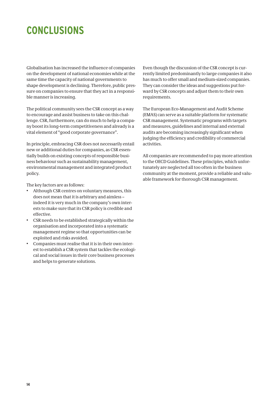# **CONCLUSIONS**

Globalisation has increased the influence of companies on the development of national economies while at the same time the capacity of national governments to shape development is declining. Therefore, public pressure on companies to ensure that they act in a responsible manner is increasing.

The political community sees the CSR concept as a way to encourage and assist business to take on this challenge. CSR, furthermore, can do much to help a company boost its long-term competitiveness and already is a vital element of "good corporate governance".

In principle, embracing CSR does not necessarily entail new or additional duties for companies, as CSR essentially builds on existing concepts of responsible business behaviour such as sustainability management, environmental management and integrated product policy.

The key factors are as follows:

- Although CSR centres on voluntary measures, this does not mean that it is arbitrary and aimless – indeed it is very much in the company's own interests to make sure that its CSR policy is credible and effective.
- CSR needs to be established strategically within the organisation and incorporated into a systematic management regime so that opportunities can be exploited and risks avoided.
- Companies must realise that it is in their own interest to establish a CSR system that tackles the ecological and social issues in their core business processes and helps to generate solutions.

Even though the discussion of the CSR concept is currently limited predominantly to large companies it also has much to offer small and medium-sized companies. They can consider the ideas and suggestions put forward by CSR concepts and adjust them to their own requirements.

The European Eco-Management and Audit Scheme (EMAS) can serve as a suitable platform for systematic CSR management. Systematic programs with targets and measures, guidelines and internal and external audits are becoming increasingly significant when judging the efficiency and credibility of commercial activities.

All companies are recommended to pay more attention to the OECD Guidelines. These principles, which unfortunately are neglected all too often in the business community at the moment, provide a reliable and valuable framework for thorough CSR management.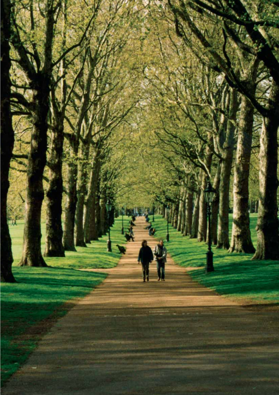